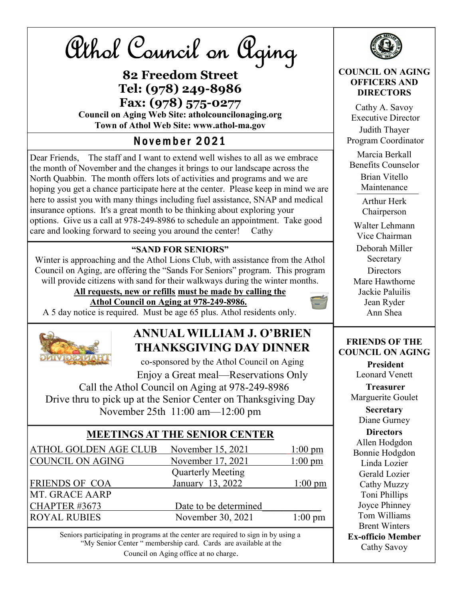Athol Council on Aging

## 82 Freedom Street Tel: (978) 249-8986 Fax: (978) 575-0277

Council on Aging Web Site: atholcouncilonaging.org Town of Athol Web Site: www.athol-ma.gov

## November 2021

Dear Friends, The staff and I want to extend well wishes to all as we embrace the month of November and the changes it brings to our landscape across the North Quabbin. The month offers lots of activities and programs and we are hoping you get a chance participate here at the center. Please keep in mind we are here to assist you with many things including fuel assistance, SNAP and medical insurance options. It's a great month to be thinking about exploring your options. Give us a call at 978-249-8986 to schedule an appointment. Take good care and looking forward to seeing you around the center! Cathy

#### "SAND FOR SENIORS"

Winter is approaching and the Athol Lions Club, with assistance from the Athol Council on Aging, are offering the "Sands For Seniors" program. This program will provide citizens with sand for their walkways during the winter months.

All requests, new or refills must be made by calling the

#### Athol Council on Aging at 978-249-8986.

A 5 day notice is required. Must be age 65 plus. Athol residents only.



## ANNUAL WILLIAM J. O'BRIEN THANKSGIVING DAY DINNER

co-sponsored by the Athol Council on Aging Enjoy a Great meal—Reservations Only

 Call the Athol Council on Aging at 978-249-8986 Drive thru to pick up at the Senior Center on Thanksgiving Day November 25th 11:00 am—12:00 pm

#### MEETINGS AT THE SENIOR CENTER

| ATHOL GOLDEN AGE CLUB | November 15, 2021        | $1:00 \text{ pm}$ |
|-----------------------|--------------------------|-------------------|
| COUNCIL ON AGING      | November 17, 2021        | $1:00$ pm         |
|                       | <b>Quarterly Meeting</b> |                   |
| <b>FRIENDS OF COA</b> | January 13, 2022         | $1:00 \text{ pm}$ |
| <b>MT. GRACE AARP</b> |                          |                   |
| CHAPTER #3673         | Date to be determined    |                   |
| <b>ROYAL RUBIES</b>   | November 30, 2021        | $1:00 \text{ pm}$ |

Seniors participating in programs at the center are required to sign in by using a "My Senior Center " membership card. Cards are available at the Council on Aging office at no charge.



#### COUNCIL ON AGING OFFICERS AND **DIRECTORS**

Cathy A. Savoy Executive Director Judith Thayer Program Coordinator Marcia Berkall Benefits Counselor Brian Vitello Maintenance Arthur Herk

Chairperson

Walter Lehmann Vice Chairman Deborah Miller Secretary **Directors** 

Mare Hawthorne Jackie Paluilis Jean Ryder Ann Shea

#### FRIENDS OF THE COUNCIL ON AGING

President Leonard Venett

Treasurer Marguerite Goulet

> **Secretary** Diane Gurney

**Directors** Allen Hodgdon Bonnie Hodgdon Linda Lozier Gerald Lozier Cathy Muzzy Toni Phillips Joyce Phinney Tom Williams Brent Winters Ex-officio Member Cathy Savoy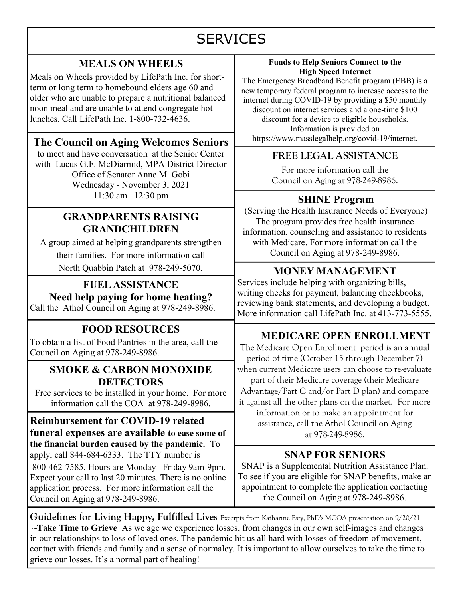# **SERVICES**

#### MEALS ON WHEELS

Meals on Wheels provided by LifePath Inc. for shortterm or long term to homebound elders age 60 and older who are unable to prepare a nutritional balanced noon meal and are unable to attend congregate hot lunches. Call LifePath Inc. 1-800-732-4636.

## The Council on Aging Welcomes Seniors https://www.masslegalhelp.org/covid-19/internet.

to meet and have conversation at the Senior Center with Lucus G.F. McDiarmid, MPA District Director Office of Senator Anne M. Gobi Wednesday - November 3, 2021 11:30 am– 12:30 pm

#### GRANDPARENTS RAISING GRANDCHILDREN

A group aimed at helping grandparents strengthen their families. For more information call North Quabbin Patch at 978-249-5070.

FUEL ASSISTANCE Need help paying for home heating? Call the Athol Council on Aging at 978-249-8986.

## FOOD RESOURCES

To obtain a list of Food Pantries in the area, call the Council on Aging at 978-249-8986.

#### SMOKE & CARBON MONOXIDE **DETECTORS**

Free services to be installed in your home. For more information call the COA at 978-249-8986.

Reimbursement for COVID-19 related funeral expenses are available to ease some of the financial burden caused by the pandemic. To apply, call 844-684-6333. The TTY number is 800-462-7585. Hours are Monday –Friday 9am-9pm. Expect your call to last 20 minutes. There is no online application process. For more information call the Council on Aging at 978-249-8986.

#### Funds to Help Seniors Connect to the High Speed Internet

The Emergency Broadband Benefit program (EBB) is a new temporary federal program to increase access to the internet during COVID-19 by providing a \$50 monthly discount on internet services and a one-time \$100 discount for a device to eligible households. Information is provided on

#### FREE LEGAL ASSISTANCE

For more information call the Council on Aging at 978-249-8986.

#### SHINE Program

(Serving the Health Insurance Needs of Everyone) The program provides free health insurance information, counseling and assistance to residents with Medicare. For more information call the Council on Aging at 978-249-8986.

#### MONEY MANAGEMENT

Services include helping with organizing bills, writing checks for payment, balancing checkbooks, reviewing bank statements, and developing a budget. More information call LifePath Inc. at 413-773-5555.

#### MEDICARE OPEN ENROLLMENT

The Medicare Open Enrollment period is an annual period of time (October 15 through December 7) when current Medicare users can choose to re-evaluate part of their Medicare coverage (their Medicare Advantage/Part C and/or Part D plan) and compare it against all the other plans on the market. For more information or to make an appointment for assistance, call the Athol Council on Aging

at 978-249-8986.

#### SNAP FOR SENIORS

SNAP is a Supplemental Nutrition Assistance Plan. To see if you are eligible for SNAP benefits, make an appointment to complete the application contacting the Council on Aging at 978-249-8986.

Guidelines for Living Happy, Fulfilled Lives Excerpts from Katharine Esty, PhD's MCOA presentation on 9/20/21  $\sim$ Take Time to Grieve As we age we experience losses, from changes in our own self-images and changes in our relationships to loss of loved ones. The pandemic hit us all hard with losses of freedom of movement, contact with friends and family and a sense of normalcy. It is important to allow ourselves to take the time to grieve our losses. It's a normal part of healing!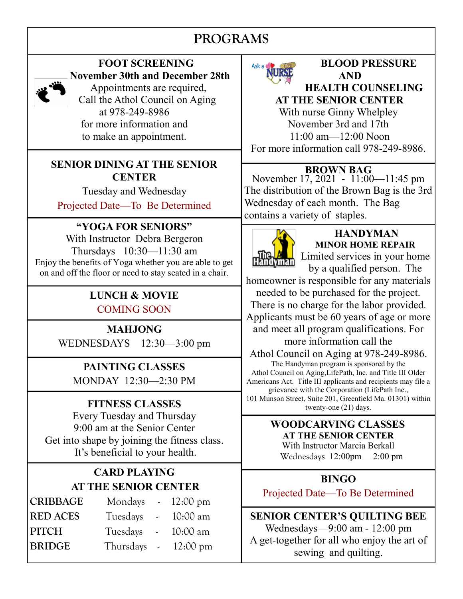## PROGRAMS



 FOOT SCREENING November 30th and December 28th

 Appointments are required, Call the Athol Council on Aging at 978-249-8986 for more information and to make an appointment.

#### SENIOR DINING AT THE SENIOR **CENTER**

Tuesday and Wednesday Projected Date—To Be Determined

## "YOGA FOR SENIORS"

With Instructor Debra Bergeron Thursdays 10:30—11:30 am Enjoy the benefits of Yoga whether you are able to get on and off the floor or need to stay seated in a chair.

# LUNCH & MOVIE

COMING SOON

## MAHJONG

WEDNESDAYS 12:30—3:00 pm

# PAINTING CLASSES

MONDAY 12:30—2:30 PM

#### FITNESS CLASSES

Every Tuesday and Thursday 9:00 am at the Senior Center Get into shape by joining the fitness class. It's beneficial to your health.

### CARD PLAYING AT THE SENIOR CENTER

| <b>CRIBBAGE</b> | Mondays $\sim 12:00 \text{ pm}$ |                     |          |
|-----------------|---------------------------------|---------------------|----------|
| <b>RED ACES</b> | Tuesdays                        | $\omega_{\rm{max}}$ | 10:00 am |
| <b>PITCH</b>    | Tuesdays                        | $\sim 10^{-11}$     | 10:00 am |
| <b>BRIDGE</b>   | Thursdays $-12:00 \text{ pm}$   |                     |          |



### BLOOD PRESSURE AND

HEALTH COUNSELING AT THE SENIOR CENTER With nurse Ginny Whelpley November 3rd and 17th 11:00 am—12:00 Noon For more information call 978-249-8986.

#### BROWN BAG

November 17, 2021 - 11:00 - 11:45 pm The distribution of the Brown Bag is the 3rd Wednesday of each month. The Bag contains a variety of staples.



## **HANDYMAN** MINOR HOME REPAIR

Limited services in your home by a qualified person. The

homeowner is responsible for any materials needed to be purchased for the project. There is no charge for the labor provided. Applicants must be 60 years of age or more and meet all program qualifications. For more information call the

Athol Council on Aging at 978-249-8986.

The Handyman program is sponsored by the Athol Council on Aging,LifePath, Inc. and Title III Older Americans Act. Title III applicants and recipients may file a grievance with the Corporation (LifePath Inc., 101 Munson Street, Suite 201, Greenfield Ma. 01301) within twenty-one (21) days.

#### WOODCARVING CLASSES AT THE SENIOR CENTER With Instructor Marcia Berkall

Wednesdays 12:00pm —2:00 pm

#### BINGO

Projected Date—To Be Determined

SENIOR CENTER'S QUILTING BEE Wednesdays—9:00 am - 12:00 pm A get-together for all who enjoy the art of sewing and quilting.